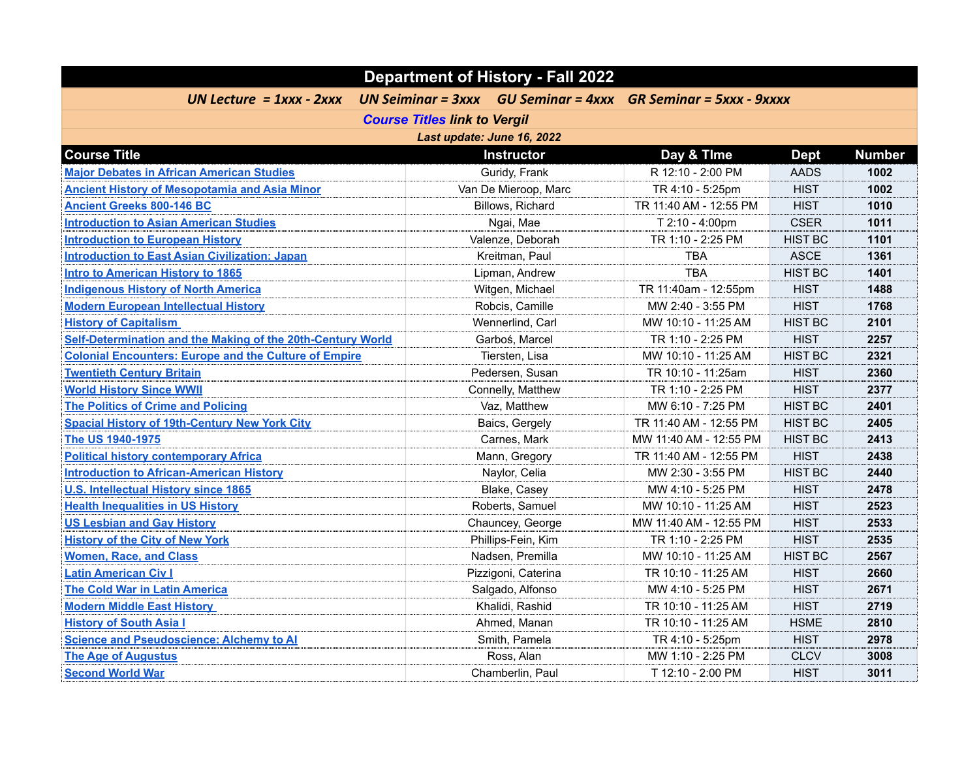| <b>Department of History - Fall 2022</b>                     |                                     |                            |                                                                        |                |               |
|--------------------------------------------------------------|-------------------------------------|----------------------------|------------------------------------------------------------------------|----------------|---------------|
| UN Lecture = $1$ xxx - $2$ xxx                               |                                     |                            | UN Seiminar = $3xxx$ GU Seminar = $4xxx$ GR Seminar = $5xxx$ - $9xxxx$ |                |               |
|                                                              | <b>Course Titles link to Vergil</b> |                            |                                                                        |                |               |
|                                                              |                                     | Last update: June 16, 2022 |                                                                        |                |               |
| <b>Course Title</b>                                          |                                     | <b>Instructor</b>          | Day & Time                                                             | <b>Dept</b>    | <b>Number</b> |
| <b>Major Debates in African American Studies</b>             |                                     | Guridy, Frank              | R 12:10 - 2:00 PM                                                      | <b>AADS</b>    | 1002          |
| <b>Ancient History of Mesopotamia and Asia Minor</b>         |                                     | Van De Mieroop, Marc       | TR 4:10 - 5:25pm                                                       | <b>HIST</b>    | 1002          |
| <b>Ancient Greeks 800-146 BC</b>                             |                                     | Billows, Richard           | TR 11:40 AM - 12:55 PM                                                 | <b>HIST</b>    | 1010          |
| <b>Introduction to Asian American Studies</b>                |                                     | Ngai, Mae                  | T 2:10 - 4:00pm                                                        | <b>CSER</b>    | 1011          |
| <b>Introduction to European History</b>                      |                                     | Valenze, Deborah           | TR 1:10 - 2:25 PM                                                      | <b>HIST BC</b> | 1101          |
| <b>Introduction to East Asian Civilization: Japan</b>        |                                     | Kreitman, Paul             | <b>TBA</b>                                                             | <b>ASCE</b>    | 1361          |
| <b>Intro to American History to 1865</b>                     |                                     | Lipman, Andrew             | <b>TBA</b>                                                             | <b>HIST BC</b> | 1401          |
| <b>Indigenous History of North America</b>                   |                                     | Witgen, Michael            | TR 11:40am - 12:55pm                                                   | <b>HIST</b>    | 1488          |
| <b>Modern European Intellectual History</b>                  |                                     | Robcis, Camille            | MW 2:40 - 3:55 PM                                                      | <b>HIST</b>    | 1768          |
| <b>History of Capitalism</b>                                 |                                     | Wennerlind, Carl           | MW 10:10 - 11:25 AM                                                    | <b>HIST BC</b> | 2101          |
| Self-Determination and the Making of the 20th-Century World  |                                     | Garboś, Marcel             | TR 1:10 - 2:25 PM                                                      | <b>HIST</b>    | 2257          |
| <b>Colonial Encounters: Europe and the Culture of Empire</b> |                                     | Tiersten, Lisa             | MW 10:10 - 11:25 AM                                                    | <b>HIST BC</b> | 2321          |
| <b>Twentieth Century Britain</b>                             |                                     | Pedersen, Susan            | TR 10:10 - 11:25am                                                     | <b>HIST</b>    | 2360          |
| <b>World History Since WWII</b>                              |                                     | Connelly, Matthew          | TR 1:10 - 2:25 PM                                                      | <b>HIST</b>    | 2377          |
| <b>The Politics of Crime and Policing</b>                    |                                     | Vaz, Matthew               | MW 6:10 - 7:25 PM                                                      | <b>HIST BC</b> | 2401          |
| <b>Spacial History of 19th-Century New York City</b>         |                                     | Baics, Gergely             | TR 11:40 AM - 12:55 PM                                                 | <b>HIST BC</b> | 2405          |
| The US 1940-1975                                             |                                     | Carnes, Mark               | MW 11:40 AM - 12:55 PM                                                 | <b>HIST BC</b> | 2413          |
| <b>Political history contemporary Africa</b>                 |                                     | Mann, Gregory              | TR 11:40 AM - 12:55 PM                                                 | <b>HIST</b>    | 2438          |
| <b>Introduction to African-American History</b>              |                                     | Naylor, Celia              | MW 2:30 - 3:55 PM                                                      | <b>HIST BC</b> | 2440          |
| <b>U.S. Intellectual History since 1865</b>                  |                                     | Blake, Casey               | MW 4:10 - 5:25 PM                                                      | <b>HIST</b>    | 2478          |
| <b>Health Inequalities in US History</b>                     |                                     | Roberts, Samuel            | MW 10:10 - 11:25 AM                                                    | <b>HIST</b>    | 2523          |
| <b>US Lesbian and Gay History</b>                            |                                     | Chauncey, George           | MW 11:40 AM - 12:55 PM                                                 | <b>HIST</b>    | 2533          |
| <b>History of the City of New York</b>                       |                                     | Phillips-Fein, Kim         | TR 1:10 - 2:25 PM                                                      | <b>HIST</b>    | 2535          |
| <b>Women, Race, and Class</b>                                |                                     | Nadsen, Premilla           | MW 10:10 - 11:25 AM                                                    | <b>HIST BC</b> | 2567          |
| <b>Latin American Civ I</b>                                  |                                     | Pizzigoni, Caterina        | TR 10:10 - 11:25 AM                                                    | <b>HIST</b>    | 2660          |
| <b>The Cold War in Latin America</b>                         |                                     | Salgado, Alfonso           | MW 4:10 - 5:25 PM                                                      | <b>HIST</b>    | 2671          |
| <b>Modern Middle East History</b>                            |                                     | Khalidi, Rashid            | TR 10:10 - 11:25 AM                                                    | <b>HIST</b>    | 2719          |
| <b>History of South Asia I</b>                               |                                     | Ahmed, Manan               | TR 10:10 - 11:25 AM                                                    | <b>HSME</b>    | 2810          |
| <b>Science and Pseudoscience: Alchemy to Al</b>              |                                     | Smith, Pamela              | TR 4:10 - 5:25pm                                                       | <b>HIST</b>    | 2978          |
| <b>The Age of Augustus</b>                                   |                                     | Ross, Alan                 | MW 1:10 - 2:25 PM                                                      | <b>CLCV</b>    | 3008          |
| <b>Second World War</b>                                      |                                     | Chamberlin, Paul           | T 12:10 - 2:00 PM                                                      | <b>HIST</b>    | 3011          |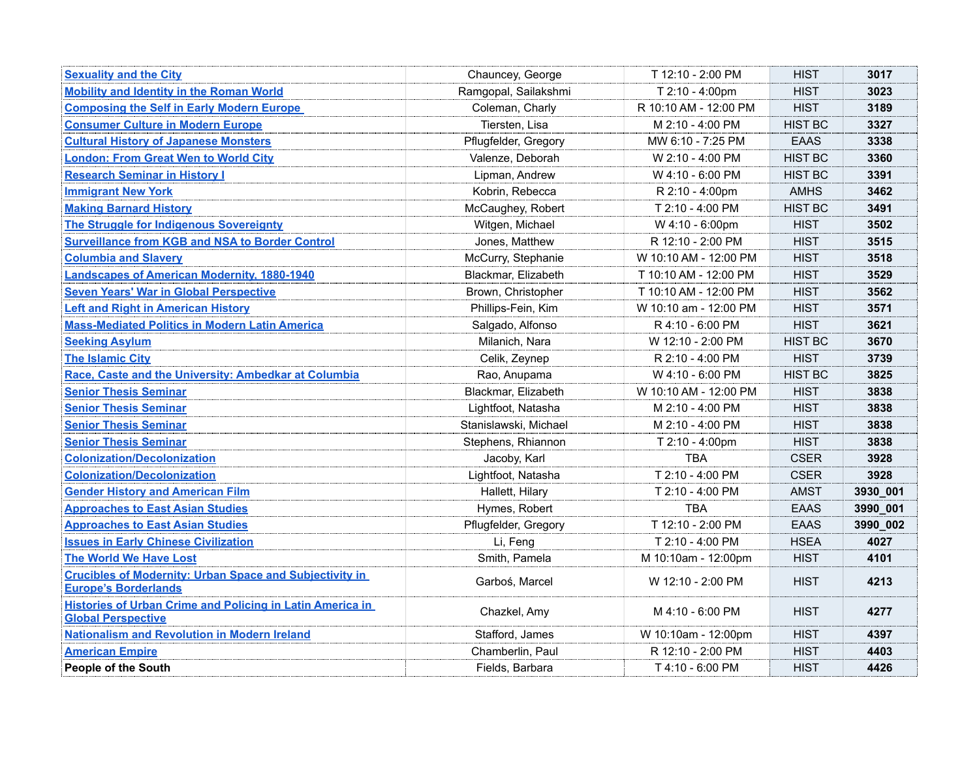| <b>Sexuality and the City</b>                                                                 | Chauncey, George      | T 12:10 - 2:00 PM     | <b>HIST</b>    | 3017     |
|-----------------------------------------------------------------------------------------------|-----------------------|-----------------------|----------------|----------|
| <b>Mobility and Identity in the Roman World</b>                                               | Ramgopal, Sailakshmi  | T 2:10 - 4:00pm       | <b>HIST</b>    | 3023     |
| <b>Composing the Self in Early Modern Europe</b>                                              | Coleman, Charly       | R 10:10 AM - 12:00 PM | <b>HIST</b>    | 3189     |
| <b>Consumer Culture in Modern Europe</b>                                                      | Tiersten, Lisa        | M 2:10 - 4:00 PM      | <b>HIST BC</b> | 3327     |
| <b>Cultural History of Japanese Monsters</b>                                                  | Pflugfelder, Gregory  | MW 6:10 - 7:25 PM     | <b>EAAS</b>    | 3338     |
| <b>London: From Great Wen to World City</b>                                                   | Valenze, Deborah      | W 2:10 - 4:00 PM      | <b>HIST BC</b> | 3360     |
| <b>Research Seminar in History I</b>                                                          | Lipman, Andrew        | W 4:10 - 6:00 PM      | <b>HIST BC</b> | 3391     |
| <b>Immigrant New York</b>                                                                     | Kobrin, Rebecca       | R 2:10 - 4:00pm       | <b>AMHS</b>    | 3462     |
| <b>Making Barnard History</b>                                                                 | McCaughey, Robert     | T 2:10 - 4:00 PM      | <b>HIST BC</b> | 3491     |
| <b>The Struggle for Indigenous Sovereignty</b>                                                | Witgen, Michael       | W 4:10 - 6:00pm       | <b>HIST</b>    | 3502     |
| <b>Surveillance from KGB and NSA to Border Control</b>                                        | Jones, Matthew        | R 12:10 - 2:00 PM     | <b>HIST</b>    | 3515     |
| <b>Columbia and Slavery</b>                                                                   | McCurry, Stephanie    | W 10:10 AM - 12:00 PM | <b>HIST</b>    | 3518     |
| <b>Landscapes of American Modernity, 1880-1940</b>                                            | Blackmar, Elizabeth   | T 10:10 AM - 12:00 PM | <b>HIST</b>    | 3529     |
| <b>Seven Years' War in Global Perspective</b>                                                 | Brown, Christopher    | T 10:10 AM - 12:00 PM | <b>HIST</b>    | 3562     |
| <b>Left and Right in American History</b>                                                     | Phillips-Fein, Kim    | W 10:10 am - 12:00 PM | <b>HIST</b>    | 3571     |
| <b>Mass-Mediated Politics in Modern Latin America</b>                                         | Salgado, Alfonso      | R 4:10 - 6:00 PM      | <b>HIST</b>    | 3621     |
| <b>Seeking Asylum</b>                                                                         | Milanich, Nara        | W 12:10 - 2:00 PM     | <b>HIST BC</b> | 3670     |
| <b>The Islamic City</b>                                                                       | Celik, Zeynep         | R 2:10 - 4:00 PM      | <b>HIST</b>    | 3739     |
| Race, Caste and the University: Ambedkar at Columbia                                          | Rao, Anupama          | W 4:10 - 6:00 PM      | <b>HIST BC</b> | 3825     |
| <b>Senior Thesis Seminar</b>                                                                  | Blackmar, Elizabeth   | W 10:10 AM - 12:00 PM | <b>HIST</b>    | 3838     |
| <b>Senior Thesis Seminar</b>                                                                  | Lightfoot, Natasha    | M 2:10 - 4:00 PM      | <b>HIST</b>    | 3838     |
| <b>Senior Thesis Seminar</b>                                                                  | Stanislawski, Michael | M 2:10 - 4:00 PM      | <b>HIST</b>    | 3838     |
| <b>Senior Thesis Seminar</b>                                                                  | Stephens, Rhiannon    | T 2:10 - 4:00pm       | <b>HIST</b>    | 3838     |
| <b>Colonization/Decolonization</b>                                                            | Jacoby, Karl          | <b>TBA</b>            | <b>CSER</b>    | 3928     |
| <b>Colonization/Decolonization</b>                                                            | Lightfoot, Natasha    | T 2:10 - 4:00 PM      | <b>CSER</b>    | 3928     |
| <b>Gender History and American Film</b>                                                       | Hallett, Hilary       | T 2:10 - 4:00 PM      | <b>AMST</b>    | 3930_001 |
| <b>Approaches to East Asian Studies</b>                                                       | Hymes, Robert         | <b>TBA</b>            | <b>EAAS</b>    | 3990_001 |
| <b>Approaches to East Asian Studies</b>                                                       | Pflugfelder, Gregory  | T 12:10 - 2:00 PM     | <b>EAAS</b>    | 3990_002 |
| <b>Issues in Early Chinese Civilization</b>                                                   | Li, Feng              | T 2:10 - 4:00 PM      | <b>HSEA</b>    | 4027     |
| <b>The World We Have Lost</b>                                                                 | Smith, Pamela         | M 10:10am - 12:00pm   | <b>HIST</b>    | 4101     |
| <b>Crucibles of Modernity: Urban Space and Subjectivity in</b><br><b>Europe's Borderlands</b> | Garboś, Marcel        | W 12:10 - 2:00 PM     | <b>HIST</b>    | 4213     |
| <b>Histories of Urban Crime and Policing in Latin America in</b><br><b>Global Perspective</b> | Chazkel, Amy          | M 4:10 - 6:00 PM      | <b>HIST</b>    | 4277     |
| <b>Nationalism and Revolution in Modern Ireland</b>                                           | Stafford, James       | W 10:10am - 12:00pm   | <b>HIST</b>    | 4397     |
| <b>American Empire</b>                                                                        | Chamberlin, Paul      | R 12:10 - 2:00 PM     | <b>HIST</b>    | 4403     |
| <b>People of the South</b>                                                                    | Fields, Barbara       | T 4:10 - 6:00 PM      | <b>HIST</b>    | 4426     |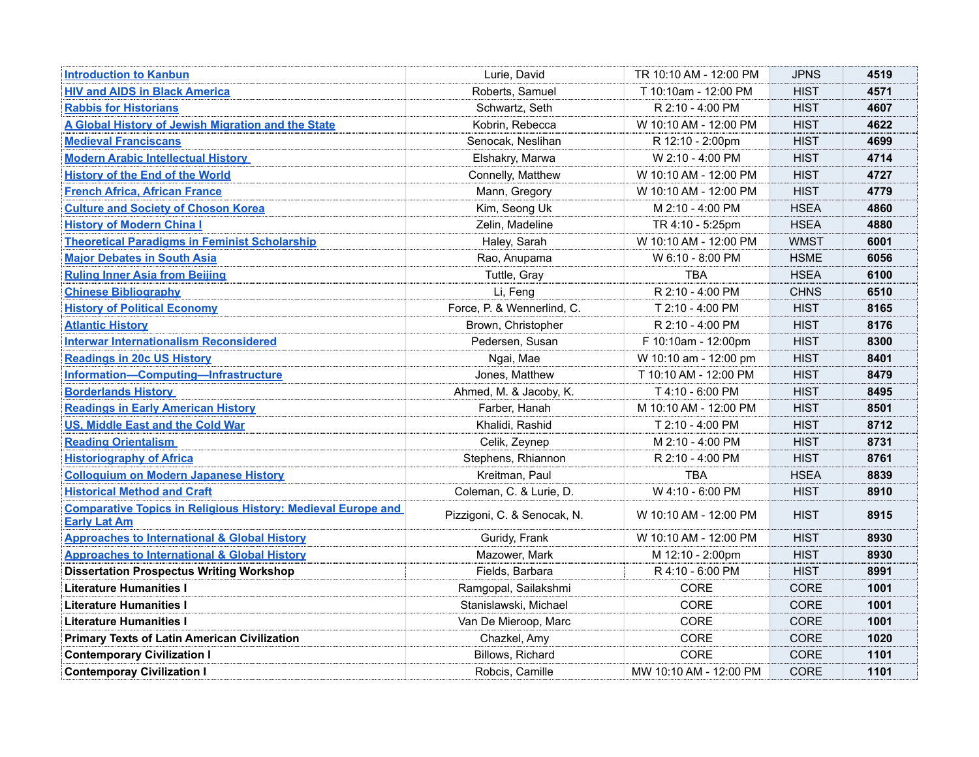| <b>Introduction to Kanbun</b>                                                              | Lurie, David                | TR 10:10 AM - 12:00 PM | <b>JPNS</b> | 4519 |
|--------------------------------------------------------------------------------------------|-----------------------------|------------------------|-------------|------|
| <b>HIV and AIDS in Black America</b>                                                       | Roberts, Samuel             | T 10:10am - 12:00 PM   | <b>HIST</b> | 4571 |
| <b>Rabbis for Historians</b>                                                               | Schwartz, Seth              | R 2:10 - 4:00 PM       | <b>HIST</b> | 4607 |
| A Global History of Jewish Migration and the State                                         | Kobrin, Rebecca             | W 10:10 AM - 12:00 PM  | <b>HIST</b> | 4622 |
| <b>Medieval Franciscans</b>                                                                | Senocak, Neslihan           | R 12:10 - 2:00pm       | <b>HIST</b> | 4699 |
| <b>Modern Arabic Intellectual History</b>                                                  | Elshakry, Marwa             | W 2:10 - 4:00 PM       | <b>HIST</b> | 4714 |
| <b>History of the End of the World</b>                                                     | Connelly, Matthew           | W 10:10 AM - 12:00 PM  | <b>HIST</b> | 4727 |
| <b>French Africa, African France</b>                                                       | Mann, Gregory               | W 10:10 AM - 12:00 PM  | <b>HIST</b> | 4779 |
| <b>Culture and Society of Choson Korea</b>                                                 | Kim, Seong Uk               | M 2:10 - 4:00 PM       | <b>HSEA</b> | 4860 |
| <b>History of Modern China I</b>                                                           | Zelin, Madeline             | TR 4:10 - 5:25pm       | <b>HSEA</b> | 4880 |
| <b>Theoretical Paradigms in Feminist Scholarship</b>                                       | Haley, Sarah                | W 10:10 AM - 12:00 PM  | <b>WMST</b> | 6001 |
| <b>Major Debates in South Asia</b>                                                         | Rao, Anupama                | W 6:10 - 8:00 PM       | <b>HSME</b> | 6056 |
| <b>Ruling Inner Asia from Beijing</b>                                                      | Tuttle, Gray                | <b>TBA</b>             | <b>HSEA</b> | 6100 |
| <b>Chinese Bibliography</b>                                                                | Li, Feng                    | R 2:10 - 4:00 PM       | <b>CHNS</b> | 6510 |
| <b>History of Political Economy</b>                                                        | Force, P. & Wennerlind, C.  | T 2:10 - 4:00 PM       | <b>HIST</b> | 8165 |
| <b>Atlantic History</b>                                                                    | Brown, Christopher          | R 2:10 - 4:00 PM       | <b>HIST</b> | 8176 |
| <b>Interwar Internationalism Reconsidered</b>                                              | Pedersen, Susan             | F 10:10am - 12:00pm    | <b>HIST</b> | 8300 |
| <b>Readings in 20c US History</b>                                                          | Ngai, Mae                   | W 10:10 am - 12:00 pm  | <b>HIST</b> | 8401 |
| Information-Computing-Infrastructure                                                       | Jones, Matthew              | T 10:10 AM - 12:00 PM  | <b>HIST</b> | 8479 |
| <b>Borderlands History</b>                                                                 | Ahmed, M. & Jacoby, K.      | T 4:10 - 6:00 PM       | <b>HIST</b> | 8495 |
| <b>Readings in Early American History</b>                                                  | Farber, Hanah               | M 10:10 AM - 12:00 PM  | <b>HIST</b> | 8501 |
| <b>US, Middle East and the Cold War</b>                                                    | Khalidi, Rashid             | T 2:10 - 4:00 PM       | <b>HIST</b> | 8712 |
| <b>Reading Orientalism</b>                                                                 | Celik, Zeynep               | M 2:10 - 4:00 PM       | <b>HIST</b> | 8731 |
| <b>Historiography of Africa</b>                                                            | Stephens, Rhiannon          | R 2:10 - 4:00 PM       | <b>HIST</b> | 8761 |
| <b>Colloquium on Modern Japanese History</b>                                               | Kreitman, Paul              | <b>TBA</b>             | <b>HSEA</b> | 8839 |
| <b>Historical Method and Craft</b>                                                         | Coleman, C. & Lurie, D.     | W 4:10 - 6:00 PM       | <b>HIST</b> | 8910 |
| <b>Comparative Topics in Religious History: Medieval Europe and</b><br><b>Early Lat Am</b> | Pizzigoni, C. & Senocak, N. | W 10:10 AM - 12:00 PM  | <b>HIST</b> | 8915 |
| <b>Approaches to International &amp; Global History</b>                                    | Guridy, Frank               | W 10:10 AM - 12:00 PM  | <b>HIST</b> | 8930 |
| <b>Approaches to International &amp; Global History</b>                                    | Mazower, Mark               | M 12:10 - 2:00pm       | <b>HIST</b> | 8930 |
| <b>Dissertation Prospectus Writing Workshop</b>                                            | Fields, Barbara             | R 4:10 - 6:00 PM       | <b>HIST</b> | 8991 |
| <b>Literature Humanities I</b>                                                             | Ramgopal, Sailakshmi        | CORE                   | CORE        | 1001 |
| <b>Literature Humanities I</b>                                                             | Stanislawski, Michael       | CORE                   | CORE        | 1001 |
| <b>Literature Humanities I</b>                                                             | Van De Mieroop, Marc        | CORE                   | CORE        | 1001 |
| <b>Primary Texts of Latin American Civilization</b>                                        | Chazkel, Amy                | CORE                   | CORE        | 1020 |
| <b>Contemporary Civilization I</b>                                                         | Billows, Richard            | CORE                   | CORE        | 1101 |
| <b>Contemporay Civilization I</b>                                                          | Robcis, Camille             | MW 10:10 AM - 12:00 PM | CORE        | 1101 |